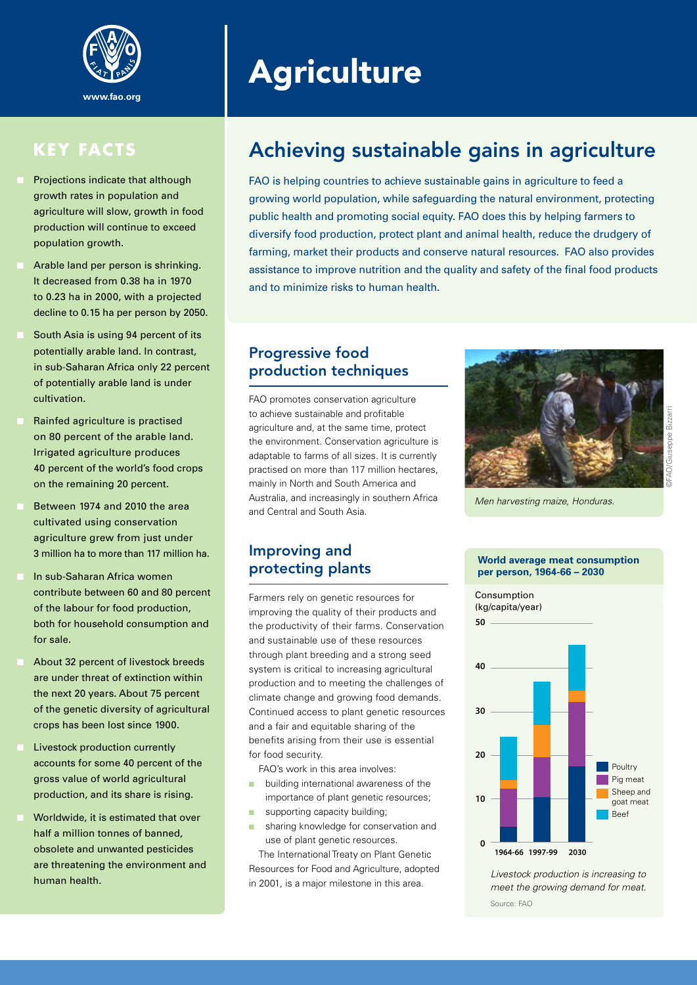

### **KEY FACTS**

- Projections indicate that although growth rates in population and agriculture will slow, growth in food production will continue to exceed population growth.
- Arable land per person is shrinking. It decreased from 0.38 ha in 1970 to 0.23 ha in 2000, with a projected decline to 0.15 ha per person by 2050.
- South Asia is using 94 percent of its potentially arable land. In contrast, in sub-Saharan Africa only 22 percent of potentially arable land is under cultivation.
- Rainfed agriculture is practised on 80 percent of the arable land. Irrigated agriculture produces 40 percent of the world's food crops on the remaining 20 percent.
- Between 1974 and 2010 the area cultivated using conservation agriculture grew from just under 3 million ha to more than 117 million ha.
- In sub-Saharan Africa women contribute between 60 and 80 percent of the labour for food production, both for household consumption and for sale.
- About 32 percent of livestock breeds are under threat of extinction within the next 20 years. About 75 percent of the genetic diversity of agricultural crops has been lost since 1900.
- Livestock production currently accounts for some 40 percent of the gross value of world agricultural production, and its share is rising.
- Worldwide, it is estimated that over half a million tonnes of banned, obsolete and unwanted pesticides are threatening the environment and human health.

# **Agriculture**

## Achieving sustainable gains in agriculture

FAO is helping countries to achieve sustainable gains in agriculture to feed a growing world population, while safeguarding the natural environment, protecting public health and promoting social equity. FAO does this by helping farmers to diversify food production, protect plant and animal health, reduce the drudgery of farming, market their products and conserve natural resources. FAO also provides assistance to improve nutrition and the quality and safety of the final food products and to minimize risks to human health.

#### Progressive food production techniques

FAO promotes conservation agriculture to achieve sustainable and profitable agriculture and, at the same time, protect the environment. Conservation agriculture is adaptable to farms of all sizes. It is currently practised on more than 117 million hectares, mainly in North and South America and Australia, and increasingly in southern Africa and Central and South Asia.



*Men harvesting maize, Honduras.*

#### Improving and protecting plants

Farmers rely on genetic resources for improving the quality of their products and the productivity of their farms. Conservation and sustainable use of these resources through plant breeding and a strong seed system is critical to increasing agricultural production and to meeting the challenges of climate change and growing food demands. Continued access to plant genetic resources and a fair and equitable sharing of the benefits arising from their use is essential for food security.

FAO's work in this area involves:

- **n** building international awareness of the importance of plant genetic resources;
- supporting capacity building;
- sharing knowledge for conservation and use of plant genetic resources.

The International Treaty on Plant Genetic Resources for Food and Agriculture, adopted in 2001, is a major milestone in this area.

#### **World average meat consumption per person, 1964-66 – 2030**



*Livestock production is increasing to meet the growing demand for meat.* Source: FAO